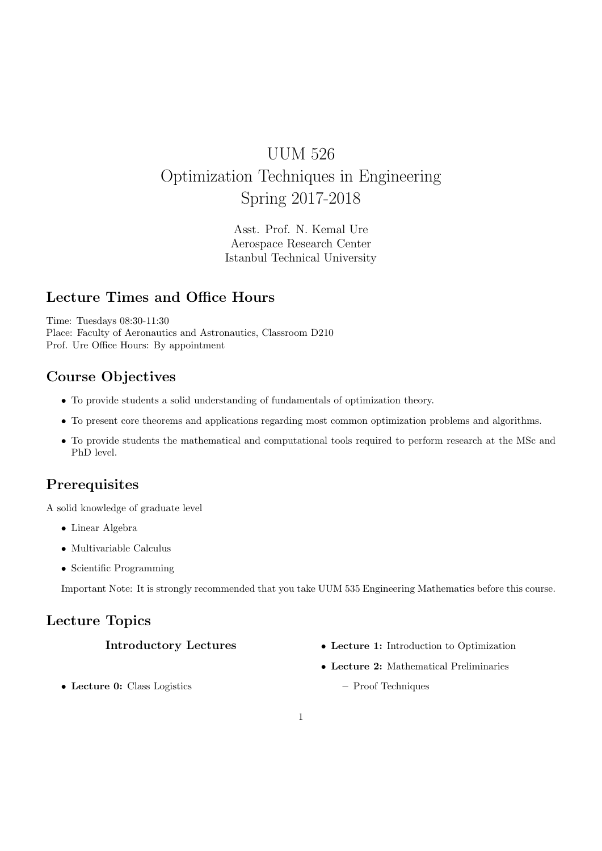# UUM 526 Optimization Techniques in Engineering Spring 2017-2018

Asst. Prof. N. Kemal Ure Aerospace Research Center Istanbul Technical University

### Lecture Times and Office Hours

Time: Tuesdays 08:30-11:30 Place: Faculty of Aeronautics and Astronautics, Classroom D210 Prof. Ure Office Hours: By appointment

# Course Objectives

- To provide students a solid understanding of fundamentals of optimization theory.
- To present core theorems and applications regarding most common optimization problems and algorithms.
- To provide students the mathematical and computational tools required to perform research at the MSc and PhD level.

# Prerequisites

A solid knowledge of graduate level

- Linear Algebra
- Multivariable Calculus
- Scientific Programming

Important Note: It is strongly recommended that you take UUM 535 Engineering Mathematics before this course.

### Lecture Topics

### Introductory Lectures

- Lecture 1: Introduction to Optimization
- Lecture 2: Mathematical Preliminaries

• Lecture 0: Class Logistics

– Proof Techniques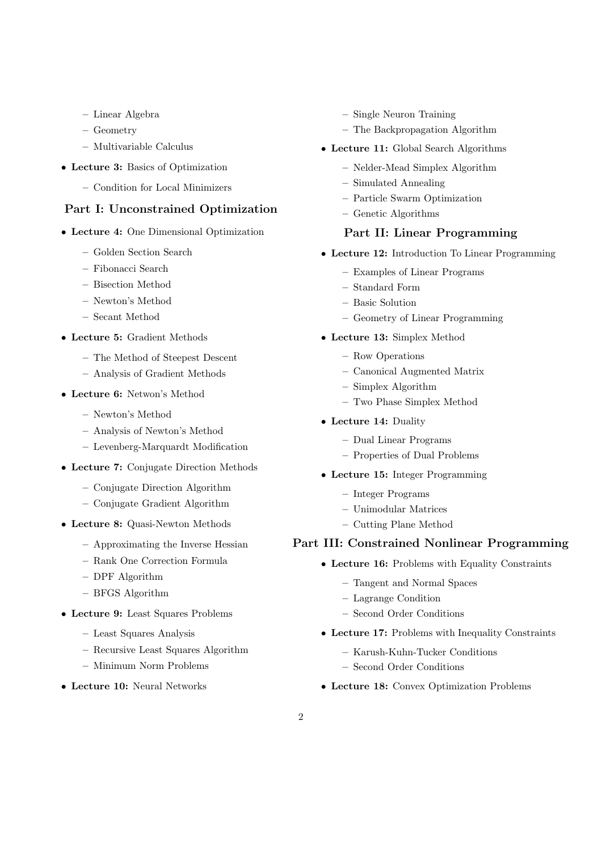- Linear Algebra
- Geometry
- Multivariable Calculus
- Lecture 3: Basics of Optimization
	- Condition for Local Minimizers

#### Part I: Unconstrained Optimization

- Lecture 4: One Dimensional Optimization
	- Golden Section Search
	- Fibonacci Search
	- Bisection Method
	- Newton's Method
	- Secant Method
- Lecture 5: Gradient Methods
	- The Method of Steepest Descent
	- Analysis of Gradient Methods
- Lecture 6: Netwon's Method
	- Newton's Method
	- Analysis of Newton's Method
	- Levenberg-Marquardt Modification
- Lecture 7: Conjugate Direction Methods
	- Conjugate Direction Algorithm
	- Conjugate Gradient Algorithm
- Lecture 8: Quasi-Newton Methods
	- Approximating the Inverse Hessian
	- Rank One Correction Formula
	- DPF Algorithm
	- BFGS Algorithm
- Lecture 9: Least Squares Problems
	- Least Squares Analysis
	- Recursive Least Squares Algorithm
	- Minimum Norm Problems
- Lecture 10: Neural Networks
- Single Neuron Training
- The Backpropagation Algorithm
- Lecture 11: Global Search Algorithms
	- Nelder-Mead Simplex Algorithm
	- Simulated Annealing
	- Particle Swarm Optimization
	- Genetic Algorithms

#### Part II: Linear Programming

- Lecture 12: Introduction To Linear Programming
	- Examples of Linear Programs
	- Standard Form
	- Basic Solution
	- Geometry of Linear Programming
- Lecture 13: Simplex Method
	- Row Operations
	- Canonical Augmented Matrix
	- Simplex Algorithm
		- Two Phase Simplex Method
- Lecture 14: Duality
	- Dual Linear Programs
	- Properties of Dual Problems
- Lecture 15: Integer Programming
	- Integer Programs
	- Unimodular Matrices
	- Cutting Plane Method

### Part III: Constrained Nonlinear Programming

- Lecture 16: Problems with Equality Constraints
	- Tangent and Normal Spaces
	- Lagrange Condition
	- Second Order Conditions
- Lecture 17: Problems with Inequality Constraints
	- Karush-Kuhn-Tucker Conditions
	- Second Order Conditions
- Lecture 18: Convex Optimization Problems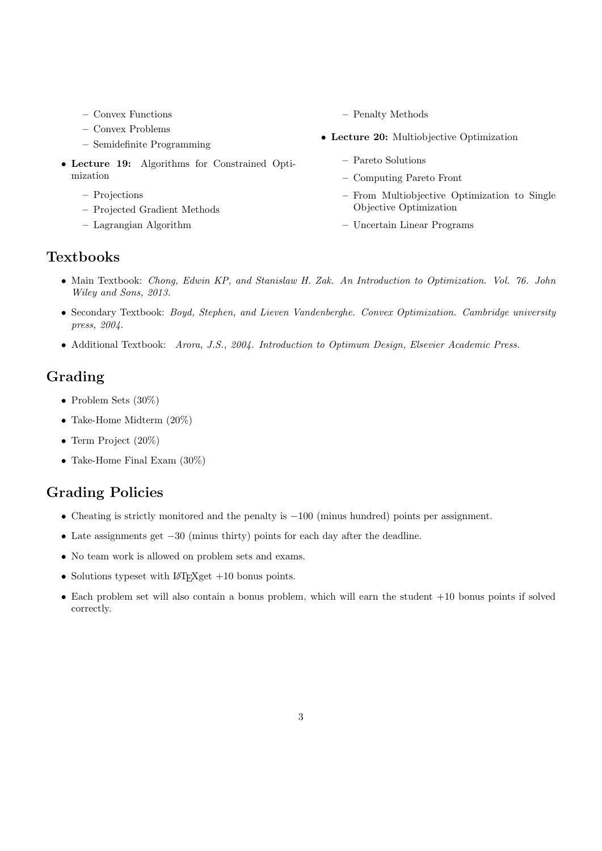- Convex Functions
- Convex Problems
- Semidefinite Programming
- Lecture 19: Algorithms for Constrained Optimization
	- Projections
	- Projected Gradient Methods
	- Lagrangian Algorithm

– Penalty Methods

- Lecture 20: Multiobjective Optimization
	- Pareto Solutions
	- Computing Pareto Front
	- From Multiobjective Optimization to Single Objective Optimization
	- Uncertain Linear Programs

### **Textbooks**

- Main Textbook: Chong, Edwin KP, and Stanislaw H. Zak. An Introduction to Optimization. Vol. 76. John Wiley and Sons, 2013.
- Secondary Textbook: Boyd, Stephen, and Lieven Vandenberghe. Convex Optimization. Cambridge university press, 2004.
- Additional Textbook: Arora, J.S., 2004. Introduction to Optimum Design, Elsevier Academic Press.

### Grading

- Problem Sets (30%)
- Take-Home Midterm (20%)
- Term Project (20%)
- Take-Home Final Exam  $(30\%)$

### Grading Policies

- Cheating is strictly monitored and the penalty is  $-100$  (minus hundred) points per assignment.
- Late assignments get −30 (minus thirty) points for each day after the deadline.
- No team work is allowed on problem sets and exams.
- Solutions typeset with  $LAT$ <sub>EX</sub>get  $+10$  bonus points.
- Each problem set will also contain a bonus problem, which will earn the student +10 bonus points if solved correctly.